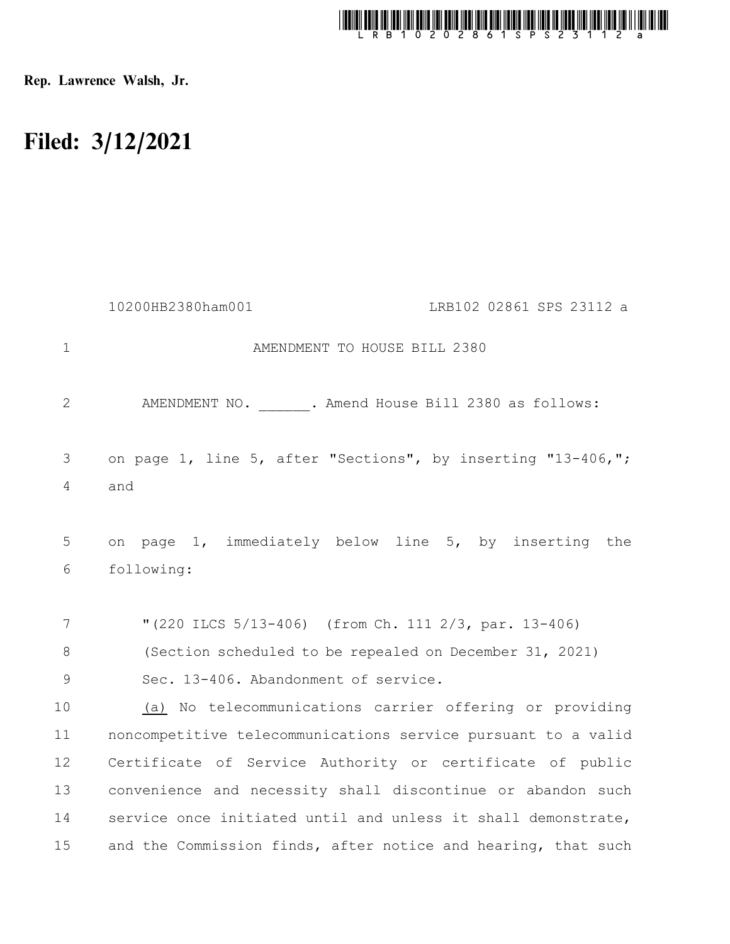

Rep. Lawrence Walsh, Jr.

## Filed: 3/12/2021

|                | 10200HB2380ham001                                                   | LRB102 02861 SPS 23112 a |
|----------------|---------------------------------------------------------------------|--------------------------|
| $\mathbf{1}$   | AMENDMENT TO HOUSE BILL 2380                                        |                          |
| 2              | AMENDMENT NO. . Amend House Bill 2380 as follows:                   |                          |
| 3<br>4         | on page 1, line 5, after "Sections", by inserting "13-406,";<br>and |                          |
| 5<br>6         | on page 1, immediately below line 5, by inserting the<br>following: |                          |
| 7              | "(220 ILCS 5/13-406) (from Ch. 111 2/3, par. 13-406)                |                          |
| 8              | (Section scheduled to be repealed on December 31, 2021)             |                          |
| $\overline{9}$ | Sec. 13-406. Abandonment of service.                                |                          |
| 10             | (a) No telecommunications carrier offering or providing             |                          |
| 11             | noncompetitive telecommunications service pursuant to a valid       |                          |
| 12             | Certificate of Service Authority or certificate of public           |                          |
| 13             | convenience and necessity shall discontinue or abandon such         |                          |
| 14             | service once initiated until and unless it shall demonstrate,       |                          |
| 15             | and the Commission finds, after notice and hearing, that such       |                          |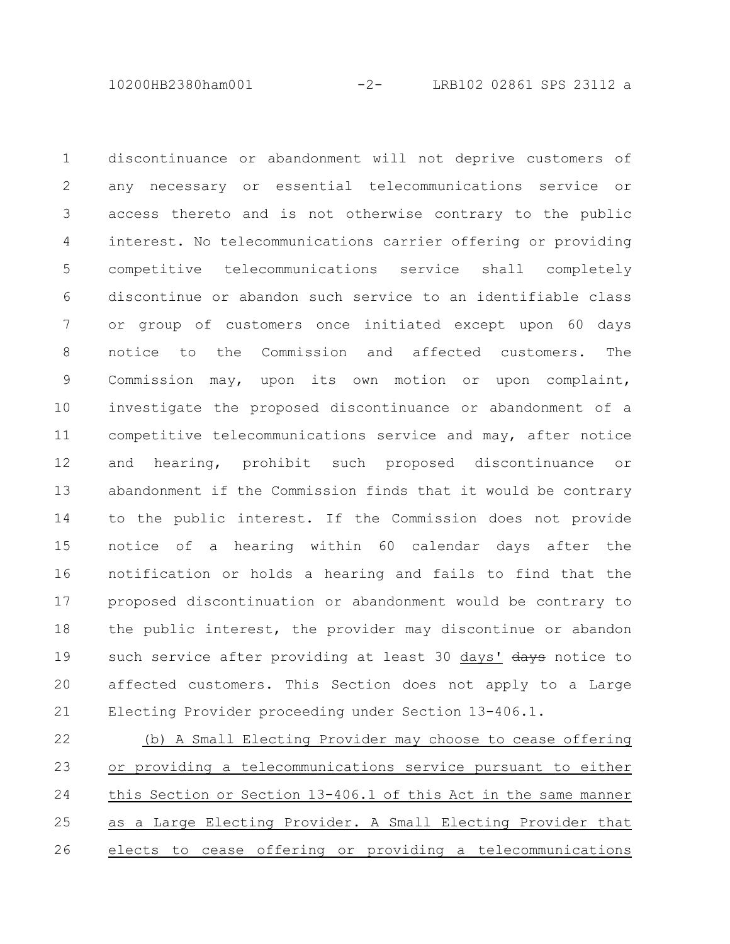10200HB2380ham001 -2- LRB102 02861 SPS 23112 a

discontinuance or abandonment will not deprive customers of any necessary or essential telecommunications service or access thereto and is not otherwise contrary to the public interest. No telecommunications carrier offering or providing competitive telecommunications service shall completely discontinue or abandon such service to an identifiable class or group of customers once initiated except upon 60 days notice to the Commission and affected customers. The Commission may, upon its own motion or upon complaint, investigate the proposed discontinuance or abandonment of a competitive telecommunications service and may, after notice and hearing, prohibit such proposed discontinuance or abandonment if the Commission finds that it would be contrary to the public interest. If the Commission does not provide notice of a hearing within 60 calendar days after the notification or holds a hearing and fails to find that the proposed discontinuation or abandonment would be contrary to the public interest, the provider may discontinue or abandon such service after providing at least 30 days' days notice to affected customers. This Section does not apply to a Large Electing Provider proceeding under Section 13-406.1. 1 2 3 4 5 6 7 8 9 10 11 12 13 14 15 16 17 18 19 20 21

(b) A Small Electing Provider may choose to cease offering or providing a telecommunications service pursuant to either this Section or Section 13-406.1 of this Act in the same manner as a Large Electing Provider. A Small Electing Provider that elects to cease offering or providing a telecommunications 22 23 24 25 26